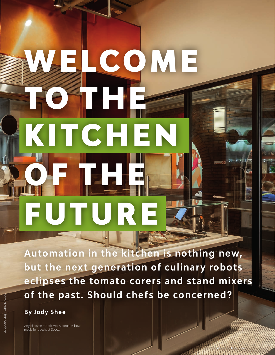# WELCOME **TO THE REAL PROPERTY.** TCHE OF THE FUTURE

**Automation in the kitchen is nothing new, but the next generation of culinary robots eclipses the tomato corers and stand mixers of the past. Should chefs be concerned?**

[WEARECHEFS](http://wearechefs.com).COM 27

**By Jody Shee**

Any of seven robotic woks prepares bowl meals for guests at Spyce.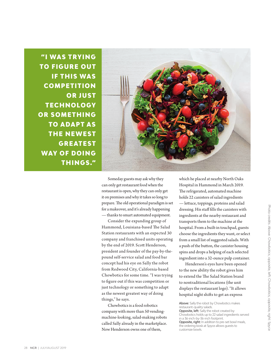"I WAS TRYING **TO FIGURE OUT IF THIS WAS COMPETITION OR JUST TECHNOLOGY** OR SOMETHING **TO ADAPT AS THE NEWEST GREATEST WAY OF DOING** THINGS."



Someday guests may ask why they can only get restaurant food when the restaurant is open, why they can only get it on premises and why it takes so long to prepare. The old operational paradigm is set for a makeover, and it's already happening — thanks to smart automated equipment.

Consider the expanding group of Hammond, Louisiana-based The Salad Station restaurants with an expected 30 company and franchised units operating by the end of 2019. Scott Henderson, president and founder of the pay-by-thepound self-service salad and food bar concept had his eye on Sally the robot from Redwood City, California-based Chowbotics for some time. "I was trying to figure out if this was competition or just technology or something to adapt as the newest greatest way of doing things," he says.

Chowbotics is a food robotics company with more than 50 vendingmachine-looking, salad-making robots called Sally already in the marketplace. Now Henderson owns one of them,

which he placed at nearby North Oaks Hospital in Hammond in March 2019. The refrigerated, automated machine holds 22 canisters of salad ingredients — lettuce, toppings, proteins and salad dressing. His staff fills the canisters with ingredients at the nearby restaurant and transports them to the machine at the hospital. From a built-in touchpad, guests choose the ingredients they want, or select from a small list of suggested salads. With a push of the button, the canister housing spins and drops a helping of each selected ingredient into a 32-ounce pulp container.

Henderson's eyes have been opened to the new ability the robot gives him to extend the The Salad Station brand to nontraditional locations (the unit displays the restaurant logo). "It allows hospital night shifts to get an express

Above: Sally the robot by Chowbotics makes restaurant-quality salads.

Opposite, left: Sally the robot created by Chowbotics holds up to 22 salad ingredients served in a 36-inch-by-36-inch footprint.

Opposite, right: In addition to pre-set bowl meals, the ordering kiosk at Spyce allows guests to customize bowls.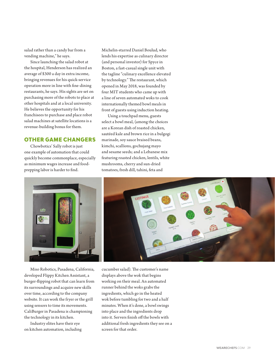salad rather than a candy bar from a vending machine," he says.

Since launching the salad robot at the hospital, Henderson has realized an average of \$300 a day in extra income, bringing revenues for his quick-service operation more in line with fine-dining restaurants, he says. His sights are set on purchasing more of the robots to place at other hospitals and at a local university. He believes the opportunity for his franchisees to purchase and place robot salad machines at satellite locations is a revenue-building bonus for them.

# OTHER GAME CHANGERS

Chowbotics' Sally robot is just one example of automation that could quickly become commonplace, especially as minimum wages increase and foodprepping labor is harder to find.

Michelin-starred Daniel Boulud, who lends his expertise as culinary director (and personal investor) for Spyce in Boston, a fast-casual single unit with the tagline "culinary excellence elevated by technology." The restaurant, which opened in May 2018, was founded by four MIT students who came up with a line of seven automated woks to cook internationally themed bowl meals in front of guests using induction heating.

Using a touchpad menu, guests select a bowl meal, (among the choices are a Korean dish of roasted chicken, sautéed kale and brown rice in a bulgogi marinade, soy sauce braised beans, kimchi, scallions, gochujang mayo and sesame seeds; and a Lebanese mix featuring roasted chicken, lentils, white mushrooms, cherry and sun-dried tomatoes, fresh dill, tahini, feta and



Miso Robotics, Pasadena, California, developed Flippy Kitchen Assistant, a burger-flipping robot that can learn from its surroundings and acquire new skills over time, according to the company website. It can work the fryer or the grill using sensors to time its movements. CaliBurger in Pasadena is championing the technology in its kitchen.

Industry elites have their eye on kitchen automation, including cucumber salad). The customer's name displays above the wok that begins working on their meal. An automated runner behind the woks grabs the ingredients, which go in the heated wok before tumbling for two and a half minutes. When it's done, a bowl swings into place and the ingredients drop into it. Servers finish off the bowls with additional fresh ingredients they see on a screen for that order.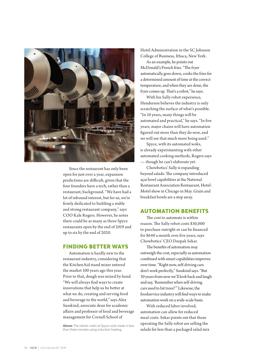

Since the restaurant has only been open for just over a year, expansion predictions are difficult, given that the four founders have a tech, rather than a restaurant, background. "We have had a lot of inbound interest, but for us, we're firmly dedicated to building a stable and strong restaurant company," says COO Kale Rogers. However, he notes there could be as many as three Spyce restaurants open by the end of 2019 and up to six by the end of 2020.

# FINDING BETTER WAYS

Automation is hardly new to the restaurant industry, considering that the KitchenAid stand mixer entered the market 100 years ago this year. Prior to that, dough was mixed by hand. "We will always find ways to create innovations that help us be better at what we do, creating and serving food and beverage to the world," says Alex Susskind, associate dean for academic affairs and professor of food and beverage management for Cornell School of

Above: The robotic woks at Spyce cook meals in less than three minutes using induction heating.

Hotel Administration in the SC Johnson College of Business, Ithaca, New York.

As an example, he points out McDonald's French fries. "The fryer automatically goes down, cooks the fries for a determined amount of time at the correct temperature, and when they are done, the fryer comes up. That's a robot," he says.

With his Sally robot experience, Henderson believes the industry is only scratching the surface of what's possible. "In 10 years, many things will be automated and practical," he says. "In five years, major chains will have automation figured out more than they do now, and we will see that much more being used."

Spyce, with its automated woks, is already experimenting with other automated cooking methods, Rogers says — though he can't elaborate yet.

Chowbotics' Sally is expanding beyond salads. The company introduced açai bowl capabilities at the National Restaurant Association Restaurant, Hotel-Motel show in Chicago in May. Grain and breakfast bowls are a step away.

### AUTOMATION BENEFITS

The cost to automate is within reason. The Sally robot costs \$30,000 to purchase outright or can be financed for \$640 a month over five years, says Chowbotics' CEO Deepak Sekar.

The benefits of automation may outweigh the cost, especially as automation combined with smart capabilities improves over time. "Right now, self-driving cars don't work perfectly," Susskind says. "But 30 years from now we'll look back and laugh and say, 'Remember when self-driving cars used to hit trees?'" Likewise, the foodservice industry will find ways to make automation work on a wide-scale basis.

With reduced labor involved, automation can allow for reduced meal costs. Sekar points out that those operating the Sally robot are selling the salads for less than a packaged salad mix